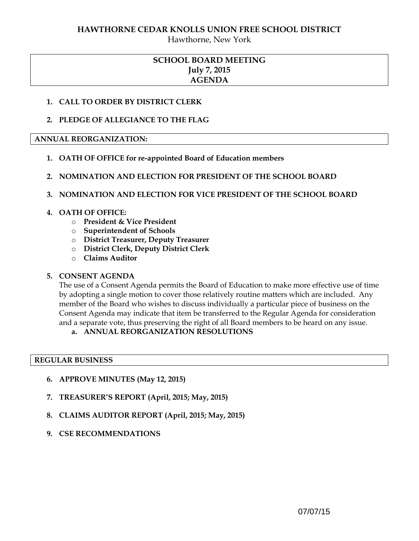### **HAWTHORNE CEDAR KNOLLS UNION FREE SCHOOL DISTRICT**

Hawthorne, New York

# **SCHOOL BOARD MEETING July 7, 2015 AGENDA**

## **1. CALL TO ORDER BY DISTRICT CLERK**

## **2. PLEDGE OF ALLEGIANCE TO THE FLAG**

### **ANNUAL REORGANIZATION:**

- **1. OATH OF OFFICE for re-appointed Board of Education members**
- **2. NOMINATION AND ELECTION FOR PRESIDENT OF THE SCHOOL BOARD**

## **3. NOMINATION AND ELECTION FOR VICE PRESIDENT OF THE SCHOOL BOARD**

## **4. OATH OF OFFICE:**

- o **President & Vice President**
- o **Superintendent of Schools**
- o **District Treasurer, Deputy Treasurer**
- o **District Clerk, Deputy District Clerk**
- o **Claims Auditor**

# **5. CONSENT AGENDA**

The use of a Consent Agenda permits the Board of Education to make more effective use of time by adopting a single motion to cover those relatively routine matters which are included. Any member of the Board who wishes to discuss individually a particular piece of business on the Consent Agenda may indicate that item be transferred to the Regular Agenda for consideration and a separate vote, thus preserving the right of all Board members to be heard on any issue.

# **a. ANNUAL REORGANIZATION RESOLUTIONS**

### **REGULAR BUSINESS**

- **6. APPROVE MINUTES (May 12, 2015)**
- **7. TREASURER'S REPORT (April, 2015; May, 2015)**
- **8. CLAIMS AUDITOR REPORT (April, 2015; May, 2015)**
- **9. CSE RECOMMENDATIONS**